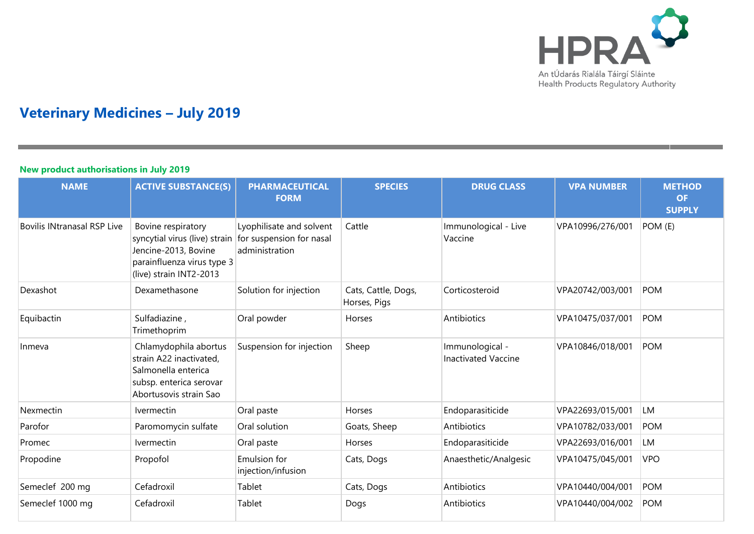

# **Veterinary Medicines – July 2019**

### **New product authorisations in July 2019**

| <b>NAME</b>                        | <b>ACTIVE SUBSTANCE(S)</b>                                                                                                           | <b>PHARMACEUTICAL</b><br><b>FORM</b>                                   | <b>SPECIES</b>                      | <b>DRUG CLASS</b>                             | <b>VPA NUMBER</b> | <b>METHOD</b><br><b>OF</b><br><b>SUPPLY</b> |
|------------------------------------|--------------------------------------------------------------------------------------------------------------------------------------|------------------------------------------------------------------------|-------------------------------------|-----------------------------------------------|-------------------|---------------------------------------------|
| <b>Bovilis INtranasal RSP Live</b> | Bovine respiratory<br>syncytial virus (live) strain<br>Jencine-2013, Bovine<br>parainfluenza virus type 3<br>(live) strain INT2-2013 | Lyophilisate and solvent<br>for suspension for nasal<br>administration | Cattle                              | Immunological - Live<br>Vaccine               | VPA10996/276/001  | POM (E)                                     |
| Dexashot                           | Dexamethasone                                                                                                                        | Solution for injection                                                 | Cats, Cattle, Dogs,<br>Horses, Pigs | Corticosteroid                                | VPA20742/003/001  | <b>POM</b>                                  |
| Equibactin                         | Sulfadiazine,<br>Trimethoprim                                                                                                        | Oral powder                                                            | Horses                              | Antibiotics                                   | VPA10475/037/001  | <b>POM</b>                                  |
| Inmeva                             | Chlamydophila abortus<br>strain A22 inactivated,<br>Salmonella enterica<br>subsp. enterica serovar<br>Abortusovis strain Sao         | Suspension for injection                                               | Sheep                               | Immunological -<br><b>Inactivated Vaccine</b> | VPA10846/018/001  | <b>POM</b>                                  |
| Nexmectin                          | <b>Ivermectin</b>                                                                                                                    | Oral paste                                                             | Horses                              | Endoparasiticide                              | VPA22693/015/001  | <b>LM</b>                                   |
| Parofor                            | Paromomycin sulfate                                                                                                                  | Oral solution                                                          | Goats, Sheep                        | Antibiotics                                   | VPA10782/033/001  | <b>POM</b>                                  |
| Promec                             | Ivermectin                                                                                                                           | Oral paste                                                             | Horses                              | Endoparasiticide                              | VPA22693/016/001  | <b>LM</b>                                   |
| Propodine                          | Propofol                                                                                                                             | Emulsion for<br>injection/infusion                                     | Cats, Dogs                          | Anaesthetic/Analgesic                         | VPA10475/045/001  | <b>VPO</b>                                  |
| Semeclef 200 mg                    | Cefadroxil                                                                                                                           | Tablet                                                                 | Cats, Dogs                          | Antibiotics                                   | VPA10440/004/001  | <b>POM</b>                                  |
| Semeclef 1000 mg                   | Cefadroxil                                                                                                                           | Tablet                                                                 | Dogs                                | Antibiotics                                   | VPA10440/004/002  | <b>POM</b>                                  |